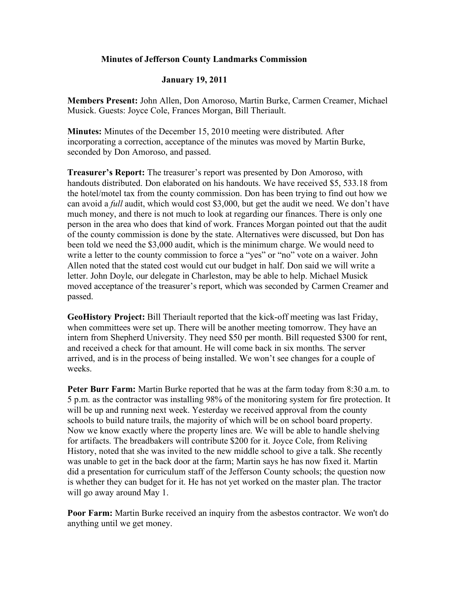## **Minutes of Jefferson County Landmarks Commission**

## **January 19, 2011**

**Members Present:** John Allen, Don Amoroso, Martin Burke, Carmen Creamer, Michael Musick. Guests: Joyce Cole, Frances Morgan, Bill Theriault.

**Minutes:** Minutes of the December 15, 2010 meeting were distributed. After incorporating a correction, acceptance of the minutes was moved by Martin Burke, seconded by Don Amoroso, and passed.

**Treasurer's Report:** The treasurer's report was presented by Don Amoroso, with handouts distributed. Don elaborated on his handouts. We have received \$5, 533.18 from the hotel/motel tax from the county commission. Don has been trying to find out how we can avoid a *full* audit, which would cost \$3,000, but get the audit we need. We don't have much money, and there is not much to look at regarding our finances. There is only one person in the area who does that kind of work. Frances Morgan pointed out that the audit of the county commission is done by the state. Alternatives were discussed, but Don has been told we need the \$3,000 audit, which is the minimum charge. We would need to write a letter to the county commission to force a "yes" or "no" vote on a waiver. John Allen noted that the stated cost would cut our budget in half. Don said we will write a letter. John Doyle, our delegate in Charleston, may be able to help. Michael Musick moved acceptance of the treasurer's report, which was seconded by Carmen Creamer and passed.

**GeoHistory Project:** Bill Theriault reported that the kick-off meeting was last Friday, when committees were set up. There will be another meeting tomorrow. They have an intern from Shepherd University. They need \$50 per month. Bill requested \$300 for rent, and received a check for that amount. He will come back in six months. The server arrived, and is in the process of being installed. We won't see changes for a couple of weeks.

**Peter Burr Farm:** Martin Burke reported that he was at the farm today from 8:30 a.m. to 5 p.m. as the contractor was installing 98% of the monitoring system for fire protection. It will be up and running next week. Yesterday we received approval from the county schools to build nature trails, the majority of which will be on school board property. Now we know exactly where the property lines are. We will be able to handle shelving for artifacts. The breadbakers will contribute \$200 for it. Joyce Cole, from Reliving History, noted that she was invited to the new middle school to give a talk. She recently was unable to get in the back door at the farm; Martin says he has now fixed it. Martin did a presentation for curriculum staff of the Jefferson County schools; the question now is whether they can budget for it. He has not yet worked on the master plan. The tractor will go away around May 1.

**Poor Farm:** Martin Burke received an inquiry from the asbestos contractor. We won't do anything until we get money.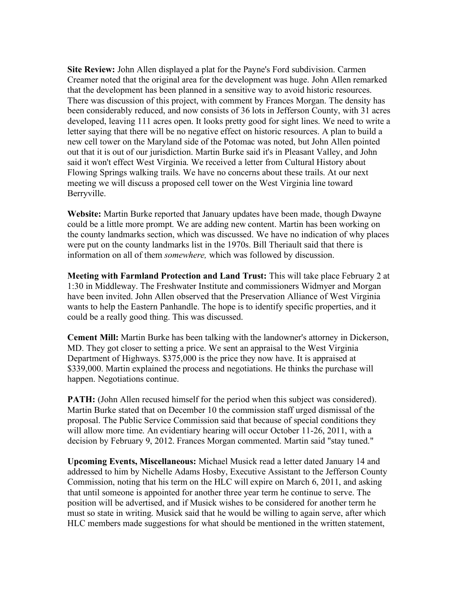**Site Review:** John Allen displayed a plat for the Payne's Ford subdivision. Carmen Creamer noted that the original area for the development was huge. John Allen remarked that the development has been planned in a sensitive way to avoid historic resources. There was discussion of this project, with comment by Frances Morgan. The density has been considerably reduced, and now consists of 36 lots in Jefferson County, with 31 acres developed, leaving 111 acres open. It looks pretty good for sight lines. We need to write a letter saying that there will be no negative effect on historic resources. A plan to build a new cell tower on the Maryland side of the Potomac was noted, but John Allen pointed out that it is out of our jurisdiction. Martin Burke said it's in Pleasant Valley, and John said it won't effect West Virginia. We received a letter from Cultural History about Flowing Springs walking trails. We have no concerns about these trails. At our next meeting we will discuss a proposed cell tower on the West Virginia line toward Berryville.

**Website:** Martin Burke reported that January updates have been made, though Dwayne could be a little more prompt. We are adding new content. Martin has been working on the county landmarks section, which was discussed. We have no indication of why places were put on the county landmarks list in the 1970s. Bill Theriault said that there is information on all of them *somewhere,* which was followed by discussion.

**Meeting with Farmland Protection and Land Trust:** This will take place February 2 at 1:30 in Middleway. The Freshwater Institute and commissioners Widmyer and Morgan have been invited. John Allen observed that the Preservation Alliance of West Virginia wants to help the Eastern Panhandle. The hope is to identify specific properties, and it could be a really good thing. This was discussed.

**Cement Mill:** Martin Burke has been talking with the landowner's attorney in Dickerson, MD. They got closer to setting a price. We sent an appraisal to the West Virginia Department of Highways. \$375,000 is the price they now have. It is appraised at \$339,000. Martin explained the process and negotiations. He thinks the purchase will happen. Negotiations continue.

**PATH:** (John Allen recused himself for the period when this subject was considered). Martin Burke stated that on December 10 the commission staff urged dismissal of the proposal. The Public Service Commission said that because of special conditions they will allow more time. An evidentiary hearing will occur October 11-26, 2011, with a decision by February 9, 2012. Frances Morgan commented. Martin said "stay tuned."

**Upcoming Events, Miscellaneous:** Michael Musick read a letter dated January 14 and addressed to him by Nichelle Adams Hosby, Executive Assistant to the Jefferson County Commission, noting that his term on the HLC will expire on March 6, 2011, and asking that until someone is appointed for another three year term he continue to serve. The position will be advertised, and if Musick wishes to be considered for another term he must so state in writing. Musick said that he would be willing to again serve, after which HLC members made suggestions for what should be mentioned in the written statement,